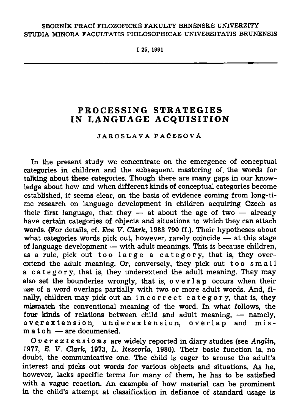## SBORNÍK PRACÍ FILOZOFICKÉ FAKULTY BRNĚNSKÉ UNIVERZITY STUDIA MINORA FACULTATIS PHILOSOPHICAE UNIVERSITATIS BRUNENSIS

I 25, 1991

# **PROCESSING STRATEGIES**  IN LANGUAGE ACQUISITION

#### JAROSLAVA PAČESOVÁ

**In the present study we concentrate on the emergence of conceptual categories in children and the subsequent mastering of the words for talking about these categories. Though there are many gaps in our knowledge about how and when different kinds of conceptual categories become established, it seems clear, on the basis of evidence coming from long-time research on language development in children acquiring Czech as their first language, that they — at about the age of two — already have certain categories of objects and situations to which they can attach words. (For details, cf.** *Eve V. Clark,* **1983 790 ff.). Their hypotheses about what categories words pick out, however, rarely coincide — at this stage of language development — with adult meanings. This is because children,**  as a rule, pick out too large a category, that is, they over**extend the adult meaning. Or, conversely, they pick out too small a category , that is, they underextend the adult meaning. They may also set the bounderies wrongly, that is, overla p occurs when their use of a word overlaps partially with two or more adult words. And, finally, children may pick out an incorrec t category , that is, they mismatch the conventional meaning of the word. In what follows, the four kinds of relations between child and adult meaning, — namely,**  overextension, underextension, overlap and mis**match — are documented.** 

*Overextensions* **are widely reported in diary studies (see** *Anglin,*  **1977,** *E. V. Clark,* **1973, L.** *Rescorla,* **1980). Their basic function is, no doubt, the communicative one. The child is eager to arouse the adult's interest and picks out words for various objects and situations. As he, however, lacks specific terms for many of them, he has to be satisfied with a vague reaction. An example of how material can be prominent in the child's attempt at classification in defiance of standard usage is**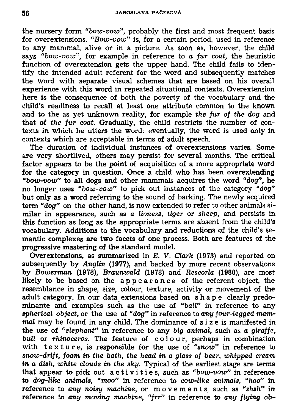**the nursery form** *"bow-vow",* **probably the first and most frequent basis for overextensions.** *"Bow-vow"* **is, for a certain period, used in reference to any mammal, alive or in a picture. As soon as, however, the child says** *"bow-vow",* **for example in reference to** *a fur coat,* **the heuristic function of overextension gets the upper hand. The child fails to identify the intended adult referent for the word and subsequently matches the word with separate visual schemes that are based on his overall experience with this word in repeated situational contexts. Overextension here is the consequence of both the poverty of the vocabulary and the child's readiness to recall at least one attribute common to the known and to the as yet unknown reality, for example** *the fur of the dog* **and that of** *the fur coat.* **Gradually, the child restricts the number of contexts in which he utters the word; eventually, the word is used only in contexts which are acceptable in terms of adult speech.** 

**The duration of individual instances of overextensions varies. Some are very shortlived, others may persist for several months. The critical factor appears to be the point of acquisition of a more appropriate word for the category in question. Once a child who has been overextending**  *"bow-vow"* **to all dogs and other mammals acquires the word** *"dog",* **he no longer uses** *"bow-vow"* **to pick out instances of the category** *"dog"*  **but only as a word referring to the sound of barking. The newly acquired term "dog" on the other hand, is now extended to refer to other animals similar in appearance, such as** *a lioness, tiger* **or** *sheep,* **and persists in this function as long as the appropriate terms are absent from the child's vocabulary. Additions to the vocabulary and reductions of the child's semantic complexes are two facets of one process. Both are features of the progressive mastering of the standard model.** 

**Overextensions, as summarized in** *E. V. Clark* **(1973) and reported on subsequently by** *Anglin* **(1977), and backed by more recent observations by** *Bowerman* **(1978),** *Braunwald* **(1978) and** *Rescorla* **(1980), are most**  likely to be based on the appearance of the referent object, the **resemblance in shape, size, colour, texture, activity or movement of the adult category. In our data extensions based on shape clearly predominante and examples such as the use of** *"ball"* **in reference to any**  *spherical object,* **or the use of** *"dog"* **in reference to** *any four-legged mammal* **may be found in any child. The dominance of s i z e is manifested in the use of** *"elephant"* **in reference to any** *big animal,* **such as** *a giraffe, bull* **or** *rhinoceros.* **The feature of colour , perhaps in combination with texture , is responsible for the use of** *"snow"* **in reference to**  *snow-drift, foam in the bath, the head in a glass of beer, whipped cream in a dish, white clouds in the sky.* **Typical of the earliest stage are terms that appear to pick out activities, such as** *"bow-vow"* **in reference to** *dog-like animals, "moo"* **in reference to** *cow-like animals, "hoo"* **in reference to** *any noisy machine,* **or movements, such as** *"shsh"* **in reference to** *any moving machine, "frr"* **in reference to** *any flying* **ob-**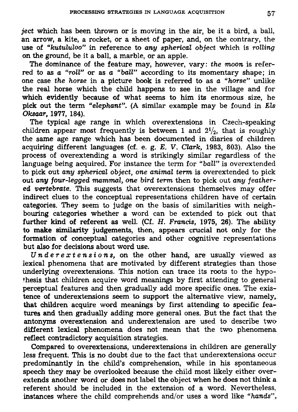*ject* **which has been thrown or is moving in the air, be it a bird, a ball, an arrow, a kite, a rocket, or a sheet of paper, and, on the contrary, the use of** *"kutululoo"* **in reference to** *any spherical object* **which is** *rolling*  **on the ground, be it a ball, a marble, or an apple.** 

**The dominance of the feature may, however, vary:** *the moon* **is referred to as a** *"roll"* **or as** *a "ball"* **according to its momentary shape; in one case** *the horse* **in a picture book is referred to as** *a "horse"* **unlike the real horse which the child happens to see in the village and for**  which evidently because of what seems to him its enormous size, he **pick out the term** *"elephant".* **(A similar example may be found in** *Els Oksaar,* **1977, 184).** 

**The typical age range in which overextensions in Czech-speaking**  children appear most frequently is between 1 and  $2^{1/2}$ , that is roughly **the same age range which has been documented in diaries of children acquiring different languages (cf. e. g.** *E. V. Clark,* **1983, 803). Also the process of overextending a word is strikingly similar regardless of the language being acquired. For instance the term for** *"ball"* **is overextended to pick out** *any spherical object, one animal term* **is overextended to pick out** *any four-legged mammal, one bird term* **then to pick out** *any feathered vertebrate.* **This suggests that overextensions themselves may offer indirect clues to the conceptual representations children have of certain categories. They seem to judge on the basis of similarities with neighbouring categories whether a word can be extended to pick out that further kind of referent as well. (Cf.** *H. Francis,* **1975, 26). The ability to make similarity judgements, then, appears crucial not only for the formation of conceptual categories and other cognitive representations but also for decisions about word use.** 

*Underextensions,* **on the other hand, are usually viewed as lexical phenomena that are motivated by different strategies than those underlying overextensions. This notion can trace its roots to the hypothesis that children acquire word meanings by first attending to general perceptual features and then gradually add more specific ones. The existence of underextensions seem to support the alternative view, namely, that children acquire word meanings by first attending to specific features and then gradually adding more general ones. But the fact that the antonyms overextension and underextension are used to describe two different lexical phenomena does not mean that the two phenomena reflect contradictory acquisition strategies.** 

**Compared to overextensions, underextensions in children are generally less frequent. This is no doubt due to the fact that underextensions occur predominantly in the child's comprehension, while in his spontaneous speech they may be overlooked because the child most likely either overextends another word or does not label the object when he does not think a referent should be included in the extension of a word. Nevertheless, instances where the child comprehends and/or uses a word like** *"hands",.*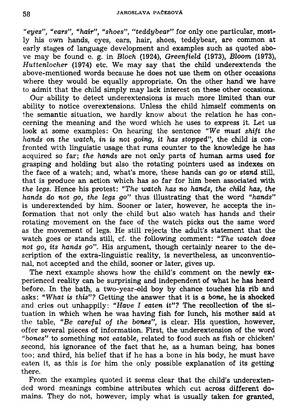*"eyes", "ears", "hair", "shoes", "teddybear"* **for only one particular, mostly his own hands, eyes, ears, hair, shoes, teddybear, are common at early stages of language development and examples such as quoted above may be found e. g. in** *Bloch* **(1924),** *Greenfield* **(1973),** *Bloom* **(1973),**  *Huttenlocher* **(1974) etc. We may say that the child underextends the above-mentioned words because he does not use them on other occasions where they would be equally appropriate. On the other hand we have to admit that the child simply may lack interest on these other occasions.** 

**Our ability to detect underextensions is much more limited than our ability to notice overextensions. Unless the child himself comments on the semantic situation, we hardly know about the relation he has concerning the meaning and the word which he uses to express it. Let us look at some examples: On hearing the sentence** *"We must shift the hands on the watch, in is not going, it has stopped",* **the child is confronted with linguistic usage that runs counter to the knowledge he has acquired so far;** *the hands* **are not only parts of human arms used for grasping and holding but also the rotating pointers used as indexes on the face of a watch; and, what's more, these hands can** *go* **or** *stand* **still, that is produce an action which has so far for him been associated with**  *the legs.* **Hence his protest:** *"The watch has no hands, the child has, the hands do not go, the legs go"* **thus illustrating that the word** *"hands"*  **is underextended by him. Sooner or later, however, he accepts the information that not only the child but also watch has hands and their rotating movement on the face of the watch picks out the same word as the movement of legs. He still rejects the adult's statement that the watch goes or stands still, cf. the following comment:** *"The watch does not go, its hands go".* **His argument, though certainly nearer to the description of the extra-linguistic reality, is nevertheless, as unconventional, not accepted and the child, sooner or later, gives up.** 

**The next example shows how the child's comment on the newly experienced reality can be surprising and independent of what he has heard before. In the bath, a two-year-old boy by chance touches his rib and asks:** *"What is this"?* **Getting the answer that it is o** *bone,* **he is shocked and cries out unhappily:** *"Have I eaten it"?* **The recollection of the situation in which when he was having fish for lunch, his mother said at the table,** *"Be careful of the bones",* **is clear. His question, however, offer several pieces of information. First, the underextension of the word**  *"bones"* **to something** *not eatable,* **related to food such as fish or chicken' second, his ignorance of the fact that he, as a human being, has bones too; and third, his belief that if he has a bone in his body, he must have eaten it, as this is for him the only possible explanation of its getting there.** 

**From the examples quoted it seems clear that the child's underextended word meanings combine attributes which cut across different domains. They do not, however, imply what is usually taken for granted,**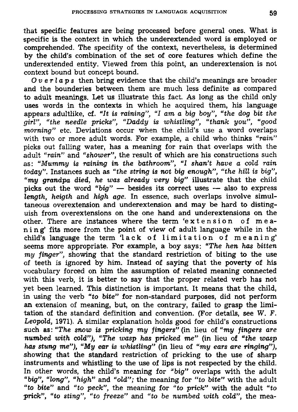**that specific features are being processed before general ones. What is specific is the context in which the underextended word is employed or comprehended. The specifity of the context, nevertheless, is determined by the child's combination of the set of core features which define the underextended entity. Viewed from this point, an underextension is not context bound but concept bound.** 

*Overlaps* **then bring evidence that the child's meanings are broader and the bounderies between them are much less definite as compared to adult meanings. Let us illustrate this fact. As long as the child only uses words in the contexts in which he acquired them, his language appears adultlike, cf.** *"It is raining", "I am a big boy", "the dog bit the girl", "the needle pricks", "Daddy is whistling", "thank you", "good morning"* **etc. Deviations occur when the child's use a word overlaps with two or more adult words. For example, a child who thinks** *"rain"*  **picks out falling water, has a meaning for rain that overlaps with the adult** *"rain"* **and** *"shower",* **the result of which are his constructions such as:** *"Mummy is raining in the bathroom", "I shan't have a cold rain today".* **Instances such as** *"the string is not big enough", "the hill is big", "my grandpa died, he was already very big"* **illustrate that the child picks out the word** *"big"* **— besides its correct uses — also to express**  *length, heigth* **and** *high age.* **In essence, such overlaps involve simultaneous overextension and underextension and may be hard to distinguish from overextensions on the one hand and underextensions on the**  other. There are instances where the term 'extension of mea**ning' fits more from the point of view of adult language while in the**  child's language the term 'lack of limitation of meaning' **seems more appropriate. For example, a boy says:** *"The hen has bitten my finger",* **showing that the standard restriction of biting to the use of teeth is ignored by him. Instead of saying that the poverty of his vocabulary forced on him the assumption of related meaning connected**  with this verb, it is better to say that the proper related verb has not **yet been learned. This distinction is important. It means that the child, in using the verb** *"to bite"* **for non-standard purposes, did not perform an extension of meaning, but, on the contrary, failed to grasp the limitation of the standard definition and convention. (For details, see** *W. F. Leopold,* **1971). A similar explanation holds good for child's constructions such as:** *"The snow is pricking my fingers"* **(in lieu of** *"my fingers are numbed with cold"), "The wasp has pricked me"* **(in lieu of** *"the wasp has stung me"), "My ear is whistling"* **(in lieu of** *"my ears are ringing"),*  has stung me"), "My ear is whistling" (in lieu of "my ears are ringing"), has a standard **restriction of sharp in the use of sharp**  $\mathbf{r}$  is the use of sharp *new standard* **instruments and whistling to the use of lips is not respect to the use of sharp**  $\mathbf{r}$ **Instruments and whistling to the use of lips is not respected by the child.**<br>The adult of the distribution of the adult of the adult of the distribution of the distribution of the distribution In other words, the child's meaning for "big" overlaps with the adult **"**  $\mathbf{u} = \mathbf{u} \cdot \mathbf{v} + \mathbf{v} \cdot \mathbf{v} + \mathbf{v} \cdot \mathbf{v} + \mathbf{v} \cdot \mathbf{v} + \mathbf{v} \cdot \mathbf{v} + \mathbf{v} \cdot \mathbf{v} + \mathbf{v} \cdot \mathbf{v} + \mathbf{v} \cdot \mathbf{v} + \mathbf{v} \cdot \mathbf{v} + \mathbf{v$ *"to bite"* **and** *"to peck",* **the meaning for** *"to prick"* **with the adult** *"to*  "*to* bite" and "*to peck*", the meaning for "*to prick*" with the adult "*to*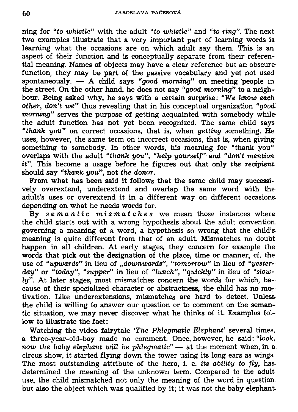**ning for** *"to whistle"* **with the adult** *"to whistle"* **and** *"to ring".* **The next two examples illustrate that a very important part of learning words is. learning what the occasions are on which adult say them. This is an aspect of their function and is conceptually separate from their referential meaning. Names of objects may have a clear reference but an obscure function, they may be part of the passive vocabulary and yet not used spontaneously. — A child says** *"good morning"* **on meeting people in the street. On the other hand, he does not say** *"good morning"* **to a neighbour. Being asked why, he says with a certain surprise:** *"We know eachother, don't we"* **thus revealing that in his conceptual organization** *"goodmorning"* **serves the purpose of getting acquainted with somebody while the adult function has not yet been recognized. The same child says**  *"thank you"* **on correct occasions, that is, when** *getting* **something. He uses, however, the same term on incorrect occasions, that is, when giving something to somebody. In other words, his meaning for "thank you" overlaps with the adult** *"thank you", "help yourself"* **and** *"don't mentionit".* **This become a usage before he figures out that only** *the recipient*  **should say** *"thank you",* **not** *the donor.* 

**From what has been said it follows that the same child may successively overextend, underextend and overlap the same word with the adult's uses or overextend it in a different way on different occasions depending on what he needs words for.** 

**By** *semantic mismatches* **we mean those instances where the child starts out with a wrong hypothesis about the adult convention, governing a meaning of a word, a hypothesis so wrong that the child's meaning is quite different from that of an adult. Mismatches no doubt happen in all children. At early stages, they concern for example the words that pick out the designation of the place, time or manner, cf. the use of** *"upwards"* **in lieu of** *"downwards", "tomorrow"* **in lieu of** *"yesterday"* **or** *"today", "supper"* **in lieu of** *"lunch", "quickly"* **in lieu of** *"slowly".* **At later stages, most mismatches concern the words for which, bacause of their specialized character or abstractness, the child has no motivation. Like underextensions, mismatches are hard to detect. Unless the child is willing to answer our question or to comment on the semantic situation, we may never discover what he thinks of it. Examples follow to illustrate the fact:** 

**Watching the video fairytale** *'The Phlegmatic Elephant'* **several times,**  a three-year-old-boy made no comment. Once, however, he said: "look, *now the baby elephant will be phlegmatic"* **— at the moment when, in a circus show, it started flying down the tower using its long ears as wings. The most outstanding attribute of the hero, i. e.** *its ability to fly,* **has determined the meaning of the unknown term. Compared to the adult use, the child mismatched not only the meaning of the word in question, but also the object which was qualified by it; it was not the baby elephant**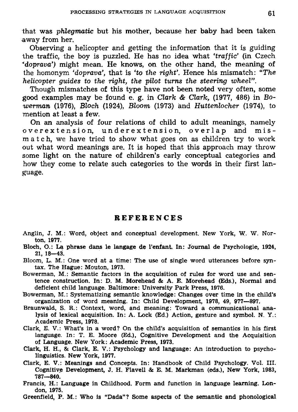**that was** *phlegmatic* **but his mother, because her baby had been taken away from her.** 

**Observing a helicopter and getting the information that it is guiding the traffic, the boy is puzzled. He has no idea what** *'traffic'* **(in Czech**  *'doprava')* **might mean. He knows, on the other hand, the meaning of the homonym** *'doprava',* **that is** *'to the right'.* **Hence his mismatch:** *"The helicopter guides to the right, the pilot turns the steering wheel".* 

**Though mismatches of this type have not been noted very often, some good examples may be found e. g. in** *Clark & Clark,* **(1977, 486) in** *Bowerman* **(1976),** *Bloch* **(1924),** *Bloom* **(1973) and** *Huttenlocher* **(1974), to mention at least a few.** 

**On an analysis of four relations of child to adult meanings, namely**  overextension, underextension, overlap and mis**match, we have tried to show what goes on as children try to work out what word meanings are. It is hoped that this approach may throw some light on the nature of children's early conceptual categories and how they come to relate such categories to the words in their first language.** 

# **REFERENCE S**

- Anglin, J. M.: Word, object and conceptual development. New York, W. W. Norton, 1077.
- Bloch, O.: La phrase dans le langage de 1'enfant. In: Journal de Psychologie, 1924, 21, 18—43.
- Bloom, L. M.: One word at a time: The use of single word utterances before syn*tax.* The Hague: Mouton, 1973.
- Bowerman, M.: Semantic factors in the acquisition of rules for word use and sentence construction. In: D. M. Morehead & A. E. Morehead (Eds.), Normal and deficient child language. Baltimore: University Park Press, 1976.
- Bowerman, M. : Systematizing semantic knowledge: Changes over time in the child's organization of word meaning. In: Child Development, 1978, 49, 977—897.
- Braunwald, S. R.: Context, word, and meaning: Toward a communicational analysis of lexical acquisition. In: A. Lock (Ed.) Action, gesture and symbol. N. Y. : Academic Press, 1978.
- Clark, E. V.: What's in a word? On the child's acquisition of semantics in his first language. In: T. E. Moore (Ed.), Cognitive Development and the Acquisition of Language. New York: Academic Press, 1973.
- Clark, H. H., & Clark, E. V.: Psychology and language: An introduction to psycholinguistics. New York, 1977.
- Clark, E. V.: Meanings and Concepts. In: Handbook of Child Psychology. Vol. III. Cognitive Development, J. H. Flavell & E. M . Markman (eds.), New York, 1983, 787—840.
- Francis, H.: Language in Childhood. Form and function in language learning. London, 1975.
- Greenfield, P. M. : Who is "Dada"? Some aspects of the semantic and phonological